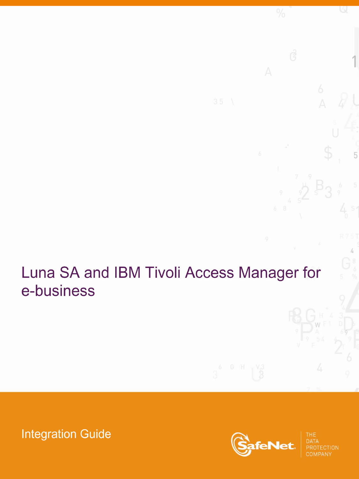# Luna SA and IBM Tivoli Access Manager for e-business

**Integration Guide** 



5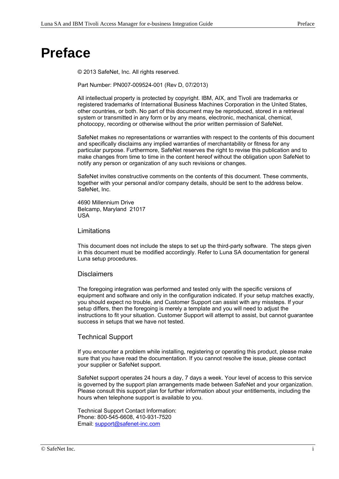### <span id="page-1-0"></span>**Preface**

© 2013 SafeNet, Inc. All rights reserved.

Part Number: PN007-009524-001 (Rev D, 07/2013)

All intellectual property is protected by copyright. IBM, AIX, and Tivoli are trademarks or registered trademarks of International Business Machines Corporation in the United States, other countries, or both. No part of this document may be reproduced, stored in a retrieval system or transmitted in any form or by any means, electronic, mechanical, chemical, photocopy, recording or otherwise without the prior written permission of SafeNet.

SafeNet makes no representations or warranties with respect to the contents of this document and specifically disclaims any implied warranties of merchantability or fitness for any particular purpose. Furthermore, SafeNet reserves the right to revise this publication and to make changes from time to time in the content hereof without the obligation upon SafeNet to notify any person or organization of any such revisions or changes.

SafeNet invites constructive comments on the contents of this document. These comments, together with your personal and/or company details, should be sent to the address below. SafeNet, Inc.

4690 Millennium Drive Belcamp, Maryland 21017 USA

#### Limitations

This document does not include the steps to set up the third-party software. The steps given in this document must be modified accordingly. Refer to Luna SA documentation for general Luna setup procedures.

### **Disclaimers**

The foregoing integration was performed and tested only with the specific versions of equipment and software and only in the configuration indicated. If your setup matches exactly, you should expect no trouble, and Customer Support can assist with any missteps. If your setup differs, then the foregoing is merely a template and you will need to adjust the instructions to fit your situation. Customer Support will attempt to assist, but cannot guarantee success in setups that we have not tested.

### Technical Support

If you encounter a problem while installing, registering or operating this product, please make sure that you have read the documentation. If you cannot resolve the issue, please contact your supplier or SafeNet support.

SafeNet support operates 24 hours a day, 7 days a week. Your level of access to this service is governed by the support plan arrangements made between SafeNet and your organization. Please consult this support plan for further information about your entitlements, including the hours when telephone support is available to you.

Technical Support Contact Information: Phone: 800-545-6608, 410-931-7520 Email: [support@safenet-inc.com](mailto:support@safenet-inc.com)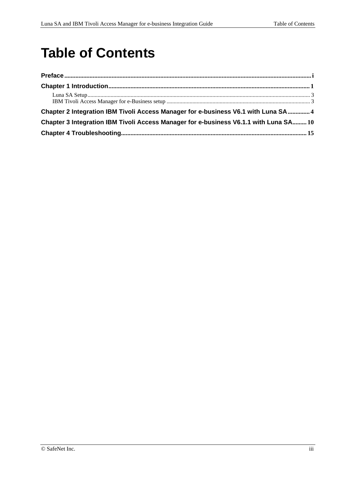## **Table of Contents**

| Chapter 2 Integration IBM Tivoli Access Manager for e-business V6.1 with Luna SA 4    |  |
|---------------------------------------------------------------------------------------|--|
| Chapter 3 Integration IBM Tivoli Access Manager for e-business V6.1.1 with Luna SA 10 |  |
|                                                                                       |  |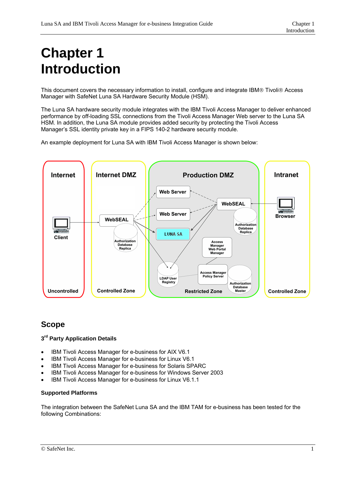# <span id="page-5-0"></span>**Chapter 1 Introduction**

This document covers the necessary information to install, configure and integrate IBM® Tivoli® Access Manager with SafeNet Luna SA Hardware Security Module (HSM).

The Luna SA hardware security module integrates with the IBM Tivoli Access Manager to deliver enhanced performance by off-loading SSL connections from the Tivoli Access Manager Web server to the Luna SA HSM. In addition, the Luna SA module provides added security by protecting the Tivoli Access Manager's SSL identity private key in a FIPS 140-2 hardware security module.

An example deployment for Luna SA with IBM Tivoli Access Manager is shown below:



### **Scope**

### **3rd Party Application Details**

- IBM Tivoli Access Manager for e-business for AIX V6.1
- IBM Tivoli Access Manager for e-business for Linux V6.1
- IBM Tivoli Access Manager for e-business for Solaris SPARC
- IBM Tivoli Access Manager for e-business for Windows Server 2003
- IBM Tivoli Access Manager for e-business for Linux V6.1.1

### **Supported Platforms**

The integration between the SafeNet Luna SA and the IBM TAM for e-business has been tested for the following Combinations: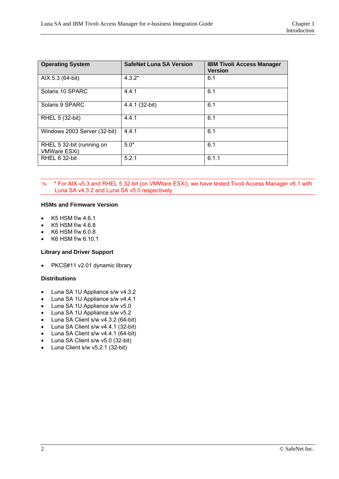| <b>Operating System</b>                          | <b>SafeNet Luna SA Version</b> | <b>IBM Tivoli Access Manager</b><br><b>Version</b> |
|--------------------------------------------------|--------------------------------|----------------------------------------------------|
| AIX 5.3 (64-bit)                                 | $4.3.2*$                       | 6.1                                                |
| Solaris 10 SPARC                                 | 4.4.1                          | 6.1                                                |
| Solaris 9 SPARC                                  | 4.4.1 (32-bit)                 | 6.1                                                |
| RHEL 5 (32-bit)                                  | 4.4.1                          | 6.1                                                |
| Windows 2003 Server (32-bit)                     | 4.4.1                          | 6.1                                                |
| RHEL 5 32-bit (running on<br><b>VMWare ESXi)</b> | $5.0*$                         | 6.1                                                |
| RHEL 6 32-bit                                    | 5.2.1                          | 6.1.1                                              |

\* For AIX v5.3 and RHEL 5 32-bit (on VMWare ESXi), we have tested Tivoli Access Manager v6.1 with Luna SA v4.3.2 and Luna SA v5.0 respectively.

#### **HSMs and Firmware Version**

- K5 HSM f/w 4.6.1
- K5 HSM f/w 4.6.8
- K6 HSM f/w 6.0.8
- K6 HSM f/w 6.10.1

### **Library and Driver Support**

• PKCS#11 v2.01 dynamic library

#### **Distributions**

- Luna SA 1U Appliance s/w v4.3.2
- Luna SA 1U Appliance s/w v4.4.1
- Luna SA 1U Appliance s/w v5.0
- Luna SA 1U Appliance s/w v5.2
- Luna SA Client s/w v4.3.2 (64-bit)
- Luna SA Client s/w v4.4.1 (32-bit)
- Luna SA Client s/w v4.4.1 (64-bit)
- Luna SA Client s/w v5.0 (32-bit)
- Luna Client s/w v5.2.1 (32-bit)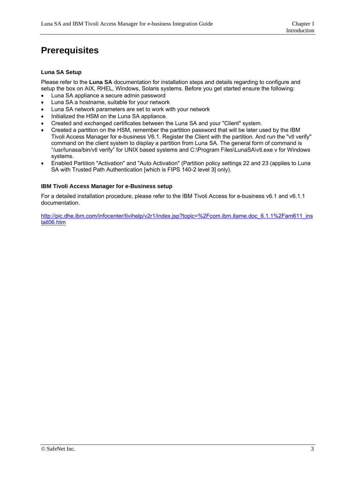### <span id="page-7-0"></span>**Prerequisites**

### **Luna SA Setup**

Please refer to the **Luna SA** documentation for installation steps and details regarding to configure and setup the box on AIX, RHEL, Windows, Solaris systems. Before you get started ensure the following:

- Luna SA appliance a secure admin password
- Luna SA a hostname, suitable for your network
- Luna SA network parameters are set to work with your network
- Initialized the HSM on the Luna SA appliance.
- Created and exchanged certificates between the Luna SA and your "Client" system.
- Created a partition on the HSM, remember the partition password that will be later used by the IBM Tivoli Access Manager for e-business V6.1. Register the Client with the partition. And run the "vtl verify" command on the client system to display a partition from Luna SA. The general form of command is "/usr/lunasa/bin/vtl verify" for UNIX based systems and C:\Program Files\LunaSA\vtl.exe v for Windows systems.
- Enabled Partition "Activation" and "Auto Activation" (Partition policy settings 22 and 23 (applies to Luna SA with Trusted Path Authentication [which is FIPS 140-2 level 3] only).

#### **IBM Tivoli Access Manager for e-Business setup**

For a detailed installation procedure, please refer to the IBM Tivoli Access for e-business v6.1 and v6.1.1 documentation.

[http://pic.dhe.ibm.com/infocenter/tivihelp/v2r1/index.jsp?topic=%2Fcom.ibm.itame.doc\\_6.1.1%2Fam611\\_ins](http://pic.dhe.ibm.com/infocenter/tivihelp/v2r1/index.jsp?topic=%2Fcom.ibm.itame.doc_6.1.1%2Fam611_install06.htm) [tall06.htm](http://pic.dhe.ibm.com/infocenter/tivihelp/v2r1/index.jsp?topic=%2Fcom.ibm.itame.doc_6.1.1%2Fam611_install06.htm)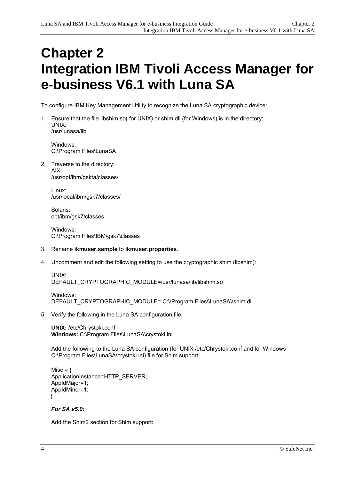### <span id="page-8-0"></span>**Chapter 2 Integration IBM Tivoli Access Manager for e-business V6.1 with Luna SA**

To configure IBM Key Management Utility to recognize the Luna SA cryptographic device:

1. Ensure that the file libshim.so( for UNIX) or shim.dll (for Windows) is in the directory: UNIX: /usr/lunasa/lib

Windows: C:\Program Files\LunaSA

2. Traverse to the directory: AIX: /usr/opt/ibm/gskta/classes/

> Linux: /usr/local/ibm/gsk7/classes/

Solaris: opt/ibm/gsk7/classes

 Windows: C:\Program Files\IBM\gsk7\classes

- 3. Rename **ikmuser.sample** to **ikmuser.properties**.
- 4. Uncomment and edit the following setting to use the cryptographic shim (libshim):

UNIX: DEFAULT\_CRYPTOGRAPHIC\_MODULE=/usr/lunasa/lib/libshim.so

```
Windows: 
DEFAULT_CRYPTOGRAPHIC_MODULE= C:\\Program Files\\LunaSA\\shim.dll
```
5. Verify the following in the Luna SA configuration file.

**UNIX:** /etc/Chrystoki.conf **Windows:** C:\Program Files\LunaSA\crystoki.ini

Add the following to the Luna SA configuration (for UNIX /etc/Chrystoki.conf and for Windows C:\Program Files\LunaSA\crystoki.ini) file for Shim support:

```
Misc = \{ApplicationInstance=HTTP_SERVER;
AppIdMajor=1; 
AppIdMinor=1; 
 }
```
#### *For SA v5.0:*

Add the Shim2 section for Shim support: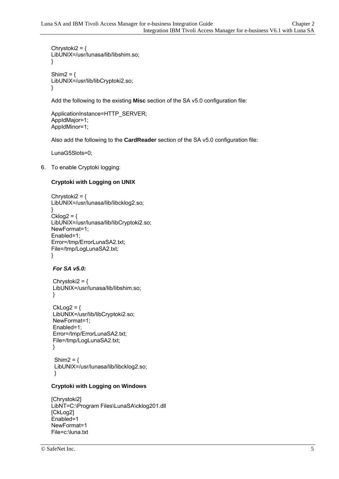```
Chrystoki2 = \{LibUNIX=/usr/lunasa/lib/libshim.so; 
} 
Shim2 = \{LibUNIX=/usr/lib/libCryptoki2.so; 
}
```
Add the following to the existing **Misc** section of the SA v5.0 configuration file:

```
ApplicationInstance=HTTP_SERVER; 
AppIdMajor=1; 
AppIdMinor=1;
```
Also add the following to the **CardReader** section of the SA v5.0 configuration file:

LunaG5Slots=0;

6. To enable Cryptoki logging:

### **Cryptoki with Logging on UNIX**

```
Chrystoki2 = \{LibUNIX=/usr/lunasa/lib/libcklog2.so; 
} 
Cklog2 = \{LibUNIX=/usr/lunasa/lib/libCryptoki2.so; 
NewFormat=1; 
Enabled=1; 
Error=/tmp/ErrorLunaSA2.txt; 
File=/tmp/LogLunaSA2.txt; 
}
```
### *For SA v5.0:*

```
Chrystoki2 = \{ LibUNIX=/usr/lunasa/lib/libshim.so; 
 }
```

```
CkLog2 = { LibUNIX=/usr/lib/libCryptoki2.so; 
 NewFormat=1; 
 Enabled=1; 
 Error=/tmp/ErrorLunaSA2.txt; 
 File=/tmp/LogLunaSA2.txt; 
 }
```

```
Shim2 = \{ LibUNIX=/usr/lunasa/lib/libcklog2.so; 
 }
```
### **Cryptoki with Logging on Windows**

```
[Chrystoki2] 
LibNT=C:\Program Files\LunaSA\cklog201.dll 
[CkLog2] 
Enabled=1 
NewFormat=1 
File=c:\luna.txt
```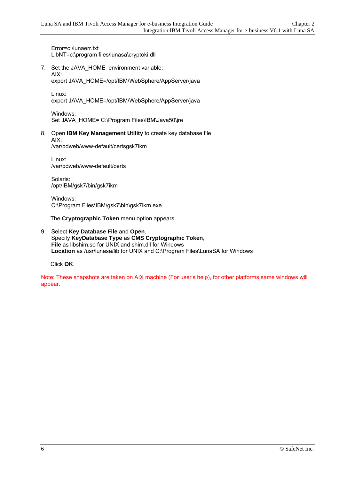Error=c:\lunaerr.txt LibNT=c:\program files\lunasa\cryptoki.dll

7. Set the JAVA\_HOME environment variable: AIX:

export JAVA\_HOME=/opt/IBM/WebSphere/AppServer/java

Linux: export JAVA\_HOME=/opt/IBM/WebSphere/AppServer/java

Windows: Set JAVA\_HOME= C:\Program Files\IBM\Java50\jre

8. Open **IBM Key Management Utility** to create key database file AIX:

/var/pdweb/www-default/certsgsk7ikm

Linux: /var/pdweb/www-default/certs

Solaris: /opt/IBM/gsk7/bin/gsk7ikm

Windows: C:\Program Files\IBM\gsk7\bin\gsk7ikm.exe

The **Cryptographic Token** menu option appears.

9. Select **Key Database File** and **Open**. Specify **KeyDatabase Type** as **CMS Cryptographic Token**, **File** as libshim.so for UNIX and shim.dll for Windows **Location** as /usr/lunasa/lib for UNIX and C:\Program Files\LunaSA for Windows

Click **OK**.

Note: These snapshots are taken on AIX machine (For user's help), for other platforms same windows will appear.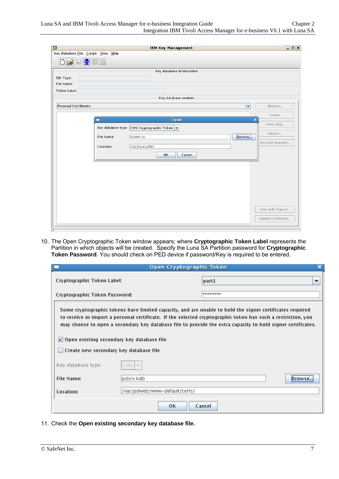|                              | Key Database File Create View Help | <b>IBM Key Management</b> |                                      | $ \Box$ $\times$ |
|------------------------------|------------------------------------|---------------------------|--------------------------------------|------------------|
| <b>DBBRID</b>                |                                    |                           |                                      |                  |
|                              |                                    | Key database information  |                                      |                  |
| DB-Type:                     |                                    |                           |                                      |                  |
| File Name:                   |                                    |                           |                                      |                  |
| <b>Token Label:</b>          |                                    |                           |                                      |                  |
|                              |                                    | Key database content      |                                      |                  |
| <b>Personal Certificates</b> |                                    |                           | $\overline{\mathbf{v}}$<br>Receive   |                  |
|                              |                                    |                           | Delete                               |                  |
|                              |                                    | Open                      | $\overline{\mathbf{x}}$<br>View/Edit |                  |
|                              | Key database type                  | CMS Cryptographic Token   | Import                               |                  |
|                              | File Name:                         | libshim.so                | Browse<br>Recreate Request           |                  |
|                              | Location:                          | /usr/lunasa/lib/          |                                      |                  |
|                              |                                    | OK<br>Cancel              |                                      |                  |
|                              |                                    |                           |                                      |                  |
|                              |                                    |                           |                                      |                  |
|                              |                                    |                           |                                      |                  |
|                              |                                    |                           |                                      |                  |
|                              |                                    |                           |                                      |                  |
|                              |                                    |                           |                                      |                  |
|                              |                                    |                           | New Self-Signed                      |                  |
|                              |                                    |                           | Extract Certificate                  |                  |
|                              |                                    |                           |                                      |                  |

10. The Open Cryptographic Token window appears; where **Cryptographic Token Label** represents the Partition in which objects will be created. Specify the Luna SA Partition password for **Cryptographic Token Password**. You should check on PED device if password/Key is required to be entered.

|                                                                                           | <b>Open Cryptographic Token</b> | ×                                                                                                                                                                                                                                                                                                                                       |
|-------------------------------------------------------------------------------------------|---------------------------------|-----------------------------------------------------------------------------------------------------------------------------------------------------------------------------------------------------------------------------------------------------------------------------------------------------------------------------------------|
| Cryptographic Token Label:                                                                | part1                           | $\overline{\phantom{a}}$                                                                                                                                                                                                                                                                                                                |
| Cryptographic Token Password:                                                             | ********                        |                                                                                                                                                                                                                                                                                                                                         |
| $\nu$ Open existing secondary key database file<br>Create new secondary key database file |                                 |                                                                                                                                                                                                                                                                                                                                         |
| CMS<br><b>SUP</b>                                                                         |                                 |                                                                                                                                                                                                                                                                                                                                         |
| pdsrv.kdb<br>Browse.                                                                      |                                 |                                                                                                                                                                                                                                                                                                                                         |
| /var/pdweb/www-default/certs/                                                             |                                 |                                                                                                                                                                                                                                                                                                                                         |
|                                                                                           |                                 | Some cryptographic tokens have limited capacity, and are unable to hold the signer certificates required<br>to receive or import a personal certificate. If the selected cryptographic token has such a restriction, you<br>may choose to open a secondary key database file to provide the extra capacity to hold signer certificates. |

11. Check the **Open existing secondary key database file.**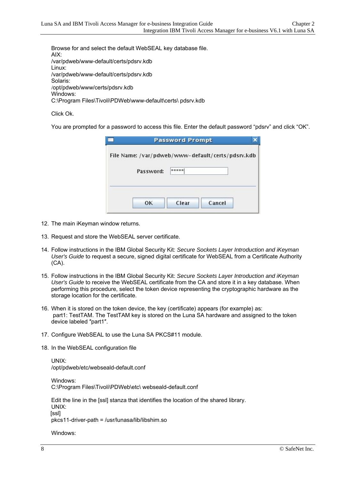Browse for and select the default WebSEAL key database file. AIX: /var/pdweb/www-default/certs/pdsrv.kdb Linux: /var/pdweb/www-default/certs/pdsrv.kdb Solaris: /opt/pdweb/www/certs/pdsrv.kdb Windows: C:\Program Files\Tivoli\PDWeb\www-default\certs\ pdsrv.kdb

Click Ok.

You are prompted for a password to access this file. Enter the default password "pdsrv" and click "OK".

| File Name: /var/pdweb/www-default/certs/pdsrv.kdb |       |  |
|---------------------------------------------------|-------|--|
| Password:                                         | ***** |  |
|                                                   |       |  |

- 12. The main iKeyman window returns.
- 13. Request and store the WebSEAL server certificate.
- 14. Follow instructions in the IBM Global Security Kit: *Secure Sockets Layer Introduction and iKeyman User's Guide* to request a secure, signed digital certificate for WebSEAL from a Certificate Authority (CA).
- 15. Follow instructions in the IBM Global Security Kit: *Secure Sockets Layer Introduction and iKeyman User's Guide* to receive the WebSEAL certificate from the CA and store it in a key database. When performing this procedure, select the token device representing the cryptographic hardware as the storage location for the certificate.
- 16. When it is stored on the token device, the key (certificate) appears (for example) as: part1: TestTAM. The TestTAM key is stored on the Luna SA hardware and assigned to the token device labeled ″part1″.
- 17. Configure WebSEAL to use the Luna SA PKCS#11 module.
- 18. In the WebSEAL configuration file

UNIX: /opt/pdweb/etc/webseald-default.conf

Windows: C:\Program Files\Tivoli\PDWeb\etc\ webseald-default.conf

Edit the line in the [ssl] stanza that identifies the location of the shared library. UNIX: [ssl]

pkcs11-driver-path = /usr/lunasa/lib/libshim.so

Windows: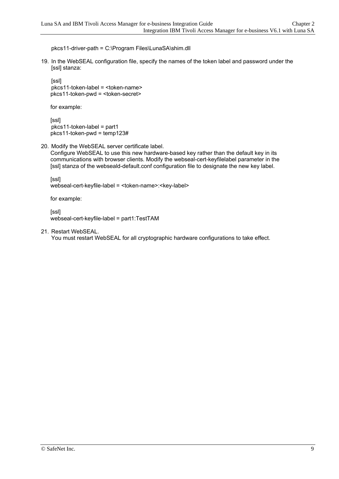pkcs11-driver-path = C:\Program Files\LunaSA\shim.dll

19. In the WebSEAL configuration file, specify the names of the token label and password under the [ssl] stanza:

[ssl] pkcs11-token-label = <token-name> pkcs11-token-pwd = <token-secret>

for example:

 [ssl] pkcs11-token-label = part1 pkcs11-token-pwd = temp123#

20. Modify the WebSEAL server certificate label.

 Configure WebSEAL to use this new hardware-based key rather than the default key in its communications with browser clients. Modify the webseal-cert-keyfilelabel parameter in the [ssl] stanza of the webseald-default.conf configuration file to designate the new key label.

[ssl]

webseal-cert-keyfile-label = <token-name>:<key-label>

for example:

[ssl]

webseal-cert-keyfile-label = part1:TestTAM

21. Restart WebSEAL.

You must restart WebSEAL for all cryptographic hardware configurations to take effect.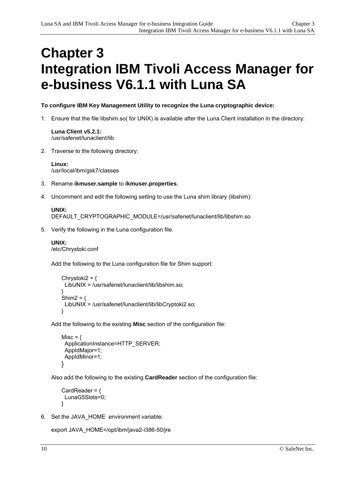### <span id="page-14-0"></span>**Chapter 3 Integration IBM Tivoli Access Manager for e-business V6.1.1 with Luna SA**

### **To configure IBM Key Management Utility to recognize the Luna cryptographic device:**

1. Ensure that the file libshim.so( for UNIX) is available after the Luna Client installation in the directory:

**Luna Client v5.2.1:**  /usr/safenet/lunaclient/lib

2. Traverse to the following directory:

**Linux:**  /usr/local/ibm/gsk7/classes

- 3. Rename **ikmuser.sample** to **ikmuser.properties**.
- 4. Uncomment and edit the following setting to use the Luna shim library (libshim):

```
UNIX: 
DEFAULT_CRYPTOGRAPHIC_MODULE=/usr/safenet/lunaclient/lib/libshim.so
```
5. Verify the following in the Luna configuration file.

```
UNIX: 
/etc/Chrystoki.conf
```
Add the following to the Luna configuration file for Shim support:

```
Chrystoki2 = \{LibUNIX = /usr/safenet/lunaclient/lib/libshim.so;
 } 
   Shim2 = \{ LibUNIX = /usr/safenet/lunaclient/lib/libCryptoki2.so; 
    }
```
Add the following to the existing **Misc** section of the configuration file:

```
Misc = \{ ApplicationInstance=HTTP_SERVER; 
  AppIdMajor=1; 
  AppIdMinor=1; 
 }
```
Also add the following to the existing **CardReader** section of the configuration file:

```
CardReader = \{ LunaG5Slots=0; 
 }
```
6. Set the JAVA\_HOME environment variable:

```
export JAVA_HOME=/opt/ibm/java2-i386-50/jre
```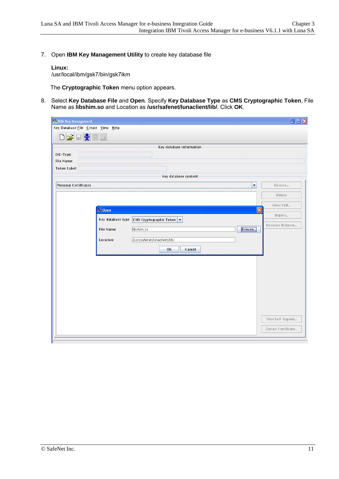7. Open **IBM Key Management Utility** to create key database file

### **Linux:**

/usr/local/ibm/gsk7/bin/gsk7ikm

The **Cryptographic Token** menu option appears.

8. Select **Key Database File** and **Open**. Specify **Key Database Type** as **CMS Cryptographic Token**, File Name as **libshim.so** and Location as **/usr/safenet/lunaclient/lib/**. Click **OK**.

| <b>EX IBM Key Management</b>       |                                                                              | $\Box$ $\times$     |
|------------------------------------|------------------------------------------------------------------------------|---------------------|
| Key Database File Create View Help |                                                                              |                     |
| <b>DBBRNI</b>                      |                                                                              |                     |
|                                    | Key database information                                                     |                     |
| DB-Type:                           |                                                                              |                     |
| File Name:                         |                                                                              |                     |
| <b>Token Label:</b>                |                                                                              |                     |
|                                    | Key database content                                                         |                     |
| <b>Personal Certificates</b>       | $\overline{\phantom{a}}$                                                     | Receive             |
|                                    |                                                                              | Delete              |
|                                    |                                                                              | View/Edit           |
| X Open                             | $\mathsf{\overline{x}}$                                                      | Import              |
|                                    | Key database type $\vert$ CMS Cryptographic Token $\vert \blacktriangledown$ | Recreate Request    |
| File Name:                         | Browse<br>libshim.so                                                         |                     |
| Location:                          | /usr/safenet/lunaclient/lib/                                                 |                     |
|                                    | OK<br>Cancel                                                                 |                     |
|                                    |                                                                              |                     |
|                                    |                                                                              |                     |
|                                    |                                                                              |                     |
|                                    |                                                                              |                     |
|                                    |                                                                              |                     |
|                                    |                                                                              |                     |
|                                    |                                                                              |                     |
|                                    |                                                                              |                     |
|                                    |                                                                              | New Self-Signed     |
|                                    |                                                                              | Extract Certificate |
|                                    |                                                                              |                     |
|                                    |                                                                              |                     |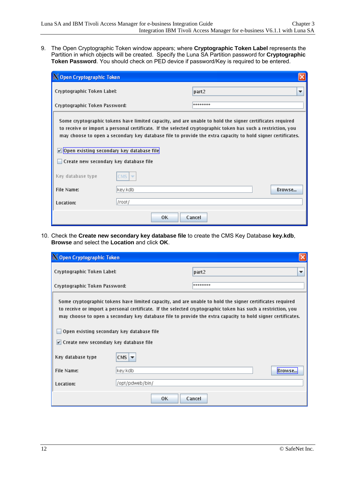9. The Open Cryptographic Token window appears; where **Cryptographic Token Label** represents the Partition in which objects will be created. Specify the Luna SA Partition password for **Cryptographic Token Password**. You should check on PED device if password/Key is required to be entered.

| X Open Cryptographic Token                                                                                                                                                                                                                                                                                                                                                                                                          |                                  |                        |  |
|-------------------------------------------------------------------------------------------------------------------------------------------------------------------------------------------------------------------------------------------------------------------------------------------------------------------------------------------------------------------------------------------------------------------------------------|----------------------------------|------------------------|--|
| Cryptographic Token Label:                                                                                                                                                                                                                                                                                                                                                                                                          |                                  | part <sub>2</sub><br>▼ |  |
| Cryptographic Token Password:                                                                                                                                                                                                                                                                                                                                                                                                       |                                  | ********               |  |
| Some cryptographic tokens have limited capacity, and are unable to hold the signer certificates required<br>to receive or import a personal certificate. If the selected cryptographic token has such a restriction, you<br>may choose to open a secondary key database file to provide the extra capacity to hold signer certificates.<br>Open existing secondary key database file<br>V<br>Create new secondary key database file |                                  |                        |  |
| Key database type                                                                                                                                                                                                                                                                                                                                                                                                                   | CMS:<br>$\overline{\phantom{a}}$ |                        |  |
| File Name:                                                                                                                                                                                                                                                                                                                                                                                                                          | key.kdb                          | <b>Rrowse</b>          |  |
| Location:                                                                                                                                                                                                                                                                                                                                                                                                                           | /root/                           |                        |  |
|                                                                                                                                                                                                                                                                                                                                                                                                                                     | 0K                               | Cancel                 |  |

10. Check the **Create new secondary key database file** to create the CMS Key Database **key.kdb**, **Browse** and select the **Location** and click **OK**.

| X Open Cryptographic Token                                                                                                                                                                                                                                                                                                                                                           |                     |                   |   |
|--------------------------------------------------------------------------------------------------------------------------------------------------------------------------------------------------------------------------------------------------------------------------------------------------------------------------------------------------------------------------------------|---------------------|-------------------|---|
| Cryptographic Token Label:                                                                                                                                                                                                                                                                                                                                                           |                     | part <sub>2</sub> | ▼ |
| Cryptographic Token Password:                                                                                                                                                                                                                                                                                                                                                        |                     | ********          |   |
| Some cryptographic tokens have limited capacity, and are unable to hold the signer certificates required<br>to receive or import a personal certificate. If the selected cryptographic token has such a restriction, you<br>may choose to open a secondary key database file to provide the extra capacity to hold signer certificates.<br>Open existing secondary key database file |                     |                   |   |
| $ v $ Create new secondary key database file                                                                                                                                                                                                                                                                                                                                         |                     |                   |   |
| Key database type                                                                                                                                                                                                                                                                                                                                                                    | $CMS$ $\rightarrow$ |                   |   |
| File Name:                                                                                                                                                                                                                                                                                                                                                                           | key.kdb             | Browse.           |   |
| Location:                                                                                                                                                                                                                                                                                                                                                                            | /opt/pdweb/bin/     |                   |   |
|                                                                                                                                                                                                                                                                                                                                                                                      | OК                  | Cancel            |   |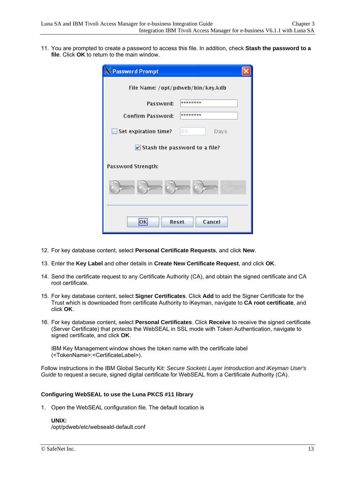11. You are prompted to create a password to access this file. In addition, check **Stash the password to a file**. Click **OK** to return to the main window.

| X Password Prompt                              |            |  |  |  |
|------------------------------------------------|------------|--|--|--|
| File Name: /opt/pdweb/bin/key.kdb              |            |  |  |  |
| Password:                                      | ********   |  |  |  |
| <b>Confirm Password:</b>                       | ********   |  |  |  |
| Set expiration time?                           | 60<br>Days |  |  |  |
| $\triangleright$ Stash the password to a file? |            |  |  |  |
| Password Strength:                             |            |  |  |  |
|                                                |            |  |  |  |
| ЮK<br><b>Reset</b>                             | Cancel     |  |  |  |

- 12. For key database content, select **Personal Certificate Requests**, and click **New**.
- 13. Enter the **Key Label** and other details in **Create New Certificate Request**, and click **OK**.
- 14. Send the certificate request to any Certificate Authority (CA), and obtain the signed certificate and CA root certificate.
- 15. For key database content, select **Signer Certificates**. Click **Add** to add the Signer Certificate for the Trust which is downloaded from certificate Authority to iKeyman, navigate to **CA root certificate**, and click **OK**.
- 16. For key database content, select **Personal Certificates**. Click **Receive** to receive the signed certificate (Server Certificate) that protects the WebSEAL in SSL mode with Token Authentication, navigate to signed certificate, and click **OK**.

IBM Key Management window shows the token name with the certificate label (<TokenName>:<CertificateLabel>).

Follow instructions in the IBM Global Security Kit: *Secure Sockets Layer Introduction and iKeyman User's Guide* to request a secure, signed digital certificate for WebSEAL from a Certificate Authority (CA).

### **Configuring WebSEAL to use the Luna PKCS #11 library**

1. Open the WebSEAL configuration file. The default location is

**UNIX:** 

/opt/pdweb/etc/webseald-default.conf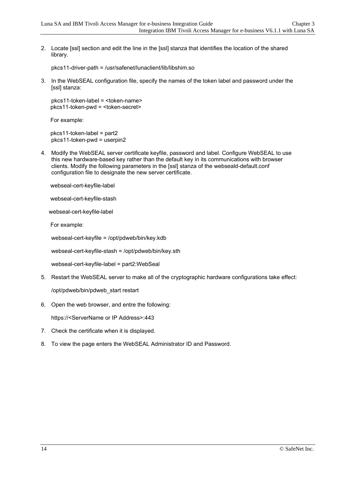2. Locate [ssl] section and edit the line in the [ssl] stanza that identifies the location of the shared library.

pkcs11-driver-path = /usr/safenet/lunaclient/lib/libshim.so

3. In the WebSEAL configuration file, specify the names of the token label and password under the [ssl] stanza:

pkcs11-token-label = <token-name> pkcs11-token-pwd = <token-secret>

For example:

 pkcs11-token-label = part2 pkcs11-token-pwd = userpin2

4. Modify the WebSEAL server certificate keyfile, password and label. Configure WebSEAL to use this new hardware-based key rather than the default key in its communications with browser clients. Modify the following parameters in the [ssl] stanza of the webseald-default.conf configuration file to designate the new server certificate.

webseal-cert-keyfile-label

webseal-cert-keyfile-stash

webseal-cert-keyfile-label

For example:

webseal-cert-keyfile = /opt/pdweb/bin/key.kdb

webseal-cert-keyfile-stash = /opt/pdweb/bin/key.sth

webseal-cert-keyfile-label = part2:WebSeal

5. Restart the WebSEAL server to make all of the cryptographic hardware configurations take effect:

/opt/pdweb/bin/pdweb\_start restart

6. Open the web browser, and entre the following:

https://<ServerName or IP Address>:443

- 7. Check the certificate when it is displayed.
- 8. To view the page enters the WebSEAL Administrator ID and Password.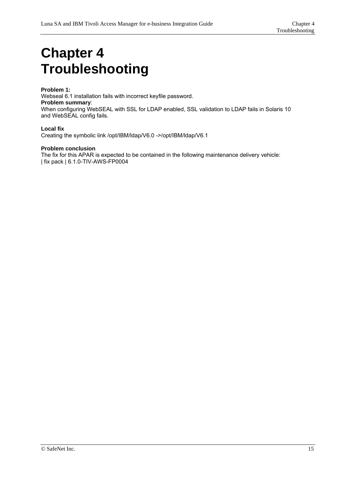# <span id="page-19-0"></span>**Chapter 4 Troubleshooting**

### **Problem 1:**

Webseal 6.1 installation fails with incorrect keyfile password. **Problem summary**: When configuring WebSEAL with SSL for LDAP enabled, SSL validation to LDAP fails in Solaris 10 and WebSEAL config fails.

#### **Local fix**

Creating the symbolic link /opt/IBM/ldap/V6.0 ->/opt/IBM/ldap/V6.1

#### **Problem conclusion**

The fix for this APAR is expected to be contained in the following maintenance delivery vehicle: | fix pack | 6.1.0-TIV-AWS-FP0004